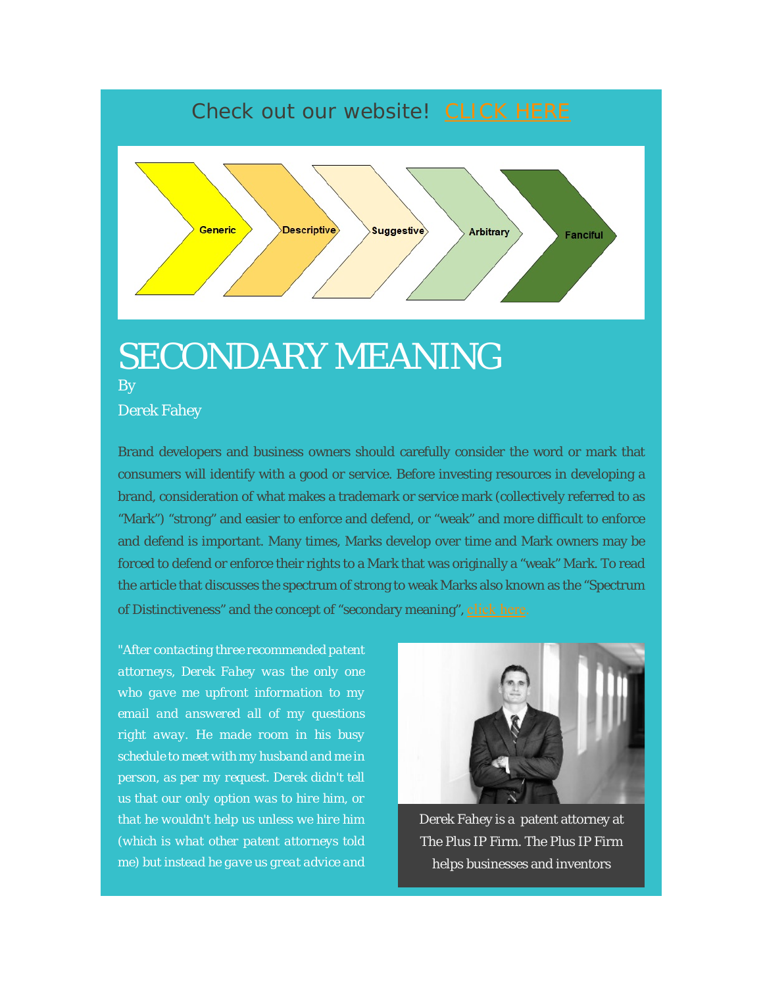## Check out our website! CLICK HERE



## SECONDARY MEANING By

Derek Fahey

Brand developers and business owners should carefully consider the word or mark that consumers will identify with a good or service. Before investing resources in developing a brand, consideration of what makes a trademark or service mark (collectively referred to as "Mark") "strong" and easier to enforce and defend, or "weak" and more difficult to enforce and defend is important. Many times, Marks develop over time and Mark owners may be forced to defend or enforce their rights to a Mark that was originally a "weak" Mark. To read the article that discusses the spectrum of strong to weak Marks also known as the "Spectrum of Distinctiveness" and the concept of "secondary meaning", click here.

*"After contacting three recommended patent attorneys, Derek Fahey was the only one who gave me upfront information to my email and answered all of my questions right away. He made room in his busy schedule to meet with my husband and me in person, as per my request. Derek didn't tell us that our only option was to hire him, or that he wouldn't help us unless we hire him (which is what other patent attorneys told me) but instead he gave us great advice and* 



Derek Fahey is a patent attorney at The Plus IP Firm. The Plus IP Firm helps businesses and inventors